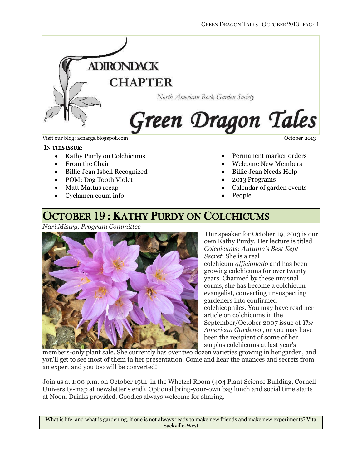

Visit our blog: acnargs.blogspot.com **October 2013** October 2013

#### IN THIS ISSUE:

- Kathy Purdy on Colchicums
- From the Chair
- Billie Jean Isbell Recognized
- POM: Dog Tooth Violet
- Matt Mattus recap
- Cyclamen coum info

- Permanent marker orders
- Welcome New Members
- Billie Jean Needs Help
- 
- 2013 Programs
- Calendar of garden events
- People

### OCTOBER 19 : KATHY PURDY ON COLCHICUMS

*Nari Mistry, Program Committee*



Our speaker for October 19, 2013 is our own Kathy Purdy. Her lecture is titled *Colchicums: Autumn's Best Kept Secret*. She is a real colchicum *afficionado* and has been growing colchicums for over twenty years. Charmed by these unusual corms, she has become a colchicum evangelist, converting unsuspecting gardeners into confirmed colchicophiles. You may have read her article on colchicums in the September/October 2007 issue of *The American Gardener*, or you may have been the recipient of some of her surplus colchicums at last year's

members-only plant sale. She currently has over two dozen varieties growing in her garden, and you'll get to see most of them in her presentation. Come and hear the nuances and secrets from an expert and you too will be converted!

Join us at 1:00 p.m. on October 19th in the Whetzel Room (404 Plant Science Building, Cornell University-map at newsletter's end). Optional bring-your-own bag lunch and social time starts at Noon. Drinks provided. Goodies always welcome for sharing.

What is life, and what is gardening, if one is not always ready to make new friends and make new experiments? Vita Sackville-West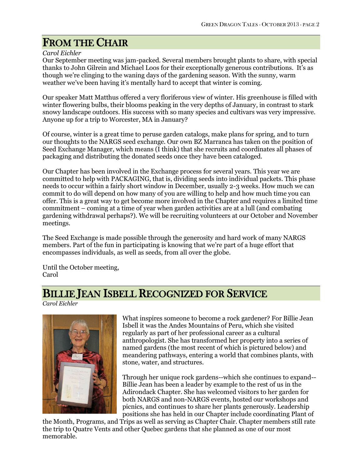# FROM THE CHAIR

*Carol Eichler*

Our September meeting was jam-packed. Several members brought plants to share, with special thanks to John Gilrein and Michael Loos for their exceptionally generous contributions. It's as though we're clinging to the waning days of the gardening season. With the sunny, warm weather we've been having it's mentally hard to accept that winter is coming.

Our speaker Matt Matthus offered a very floriferous view of winter. His greenhouse is filled with winter flowering bulbs, their blooms peaking in the very depths of January, in contrast to stark snowy landscape outdoors. His success with so many species and cultivars was very impressive. Anyone up for a trip to Worcester, MA in January?

Of course, winter is a great time to peruse garden catalogs, make plans for spring, and to turn our thoughts to the NARGS seed exchange. Our own BZ Marranca has taken on the position of Seed Exchange Manager, which means (I think) that she recruits and coordinates all phases of packaging and distributing the donated seeds once they have been cataloged.

Our Chapter has been involved in the Exchange process for several years. This year we are committed to help with PACKAGING, that is, dividing seeds into individual packets. This phase needs to occur within a fairly short window in December, usually 2-3 weeks. How much we can commit to do will depend on how many of you are willing to help and how much time you can offer. This is a great way to get become more involved in the Chapter and requires a limited time commitment – coming at a time of year when garden activities are at a lull (and combating gardening withdrawal perhaps?). We will be recruiting volunteers at our October and November meetings.

The Seed Exchange is made possible through the generosity and hard work of many NARGS members. Part of the fun in participating is knowing that we're part of a huge effort that encompasses individuals, as well as seeds, from all over the globe.

Until the October meeting, Carol

## BILLIE JEAN ISBELL RECOGNIZED FOR SERVICE

*Carol Eichler*



What inspires someone to become a rock gardener? For Billie Jean Isbell it was the Andes Mountains of Peru, which she visited regularly as part of her professional career as a cultural anthropologist. She has transformed her property into a series of named gardens (the most recent of which is pictured below) and meandering pathways, entering a world that combines plants, with stone, water, and structures.

Through her unique rock gardens--which she continues to expand-- Billie Jean has been a leader by example to the rest of us in the Adirondack Chapter. She has welcomed visitors to her garden for both NARGS and non-NARGS events, hosted our workshops and picnics, and continues to share her plants generously. Leadership positions she has held in our Chapter include coordinating Plant of

the Month, Programs, and Trips as well as serving as Chapter Chair. Chapter members still rate the trip to Quatre Vents and other Quebec gardens that she planned as one of our most memorable.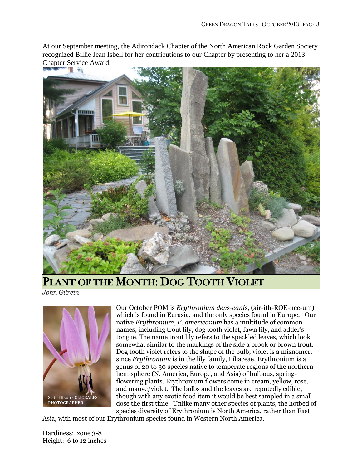At our September meeting, the Adirondack Chapter of the North American Rock Garden Society recognized Billie Jean Isbell for her contributions to our Chapter by presenting to her a 2013 Chapter Service Award.



PLANT OF THE MONTH: DOG TOOTH VIOLET

*John Gilrein*



Our October POM is *Erythronium dens-canis*, (air-ith-ROE-nee-um) which is found in Eurasia, and the only species found in Europe. Our native *Erythronium*, *E. americanum* has a multitude of common names, including trout lily, dog tooth violet, fawn lily, and adder's tongue. The name trout lily refers to the speckled leaves, which look somewhat similar to the markings of the side a brook or brown trout. Dog tooth violet refers to the shape of the bulb; violet is a misnomer, since *Erythronium* is in the lily family, Liliaceae. Erythronium is a genus of 20 to 30 species native to temperate regions of the northern hemisphere (N. America, Europe, and Asia) of bulbous, springflowering plants. Erythronium flowers come in cream, yellow, rose, and mauve/violet. The bulbs and the leaves are reputedly edible, though with any exotic food item it would be best sampled in a small dose the first time. Unlike many other species of plants, the hotbed of species diversity of Erythronium is North America, rather than East

Asia, with most of our Erythronium species found in Western North America.

Hardiness: zone 3-8 Height: 6 to 12 inches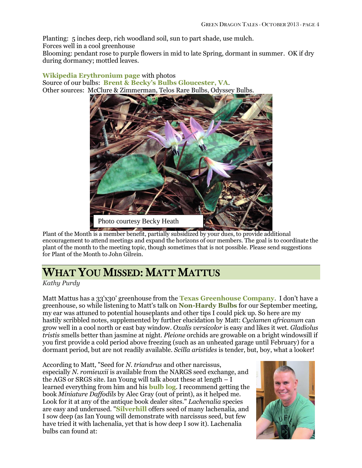Planting: 5 inches deep, rich woodland soil, sun to part shade, use mulch. Forces well in a cool greenhouse

Blooming: pendant rose to purple flowers in mid to late Spring, dormant in summer. OK if dry during dormancy; mottled leaves.

### **[Wikipedia Erythronium page](http://en.wikipedia.org/wiki/Erythronium)** with photos Source of our bulbs: **Brent & B[ecky's Bulbs Gloucester, VA](https://store.brentandbeckysbulbs.com/spring/productview/?sku=18-0101)**. Other sources: McClure & Zimmerman, Telos Rare Bulbs, Odyssey Bulbs.



Plant of the Month is a member benefit, partially subsidized by your dues, to provide additional encouragement to attend meetings and expand the horizons of our members. The goal is to coordinate the plant of the month to the meeting topic, though sometimes that is not possible. Please send suggestions for Plant of the Month to John Gilrein.

# WHAT YOU MISSED: MATT MATTUS

### *Kathy Purdy*

Matt Mattus has a 33'x30' greenhouse from the **[Texas Greenhouse Company](http://www.texasgreenhouse.com/)**. I don't have a greenhouse, so while listening to Matt's talk on **Non-Hardy Bulbs** for our September meeting, my ear was attuned to potential houseplants and other tips I could pick up. So here are my hastily scribbled notes, supplemented by further elucidation by Matt: *Cyclamen africanum* can grow well in a cool north or east bay window. *Oxalis versicolor* is easy and likes it wet. *Gladiolus tristis* smells better than jasmine at night. *Pleione* orchids are growable on a bright windowsill if you first provide a cold period above freezing (such as an unheated garage until February) for a dormant period, but are not readily available. *Scilla aristides* is tender, but, boy, what a looker!

According to Matt, "Seed for *N. triandrus* and other narcissus, especially *N. romieuxii* is available from the NARGS seed exchange, and the AGS or SRGS site. Ian Young will talk about these at length – I learned everything from him and his **[bulb log](http://www.srgc.org.uk/logs/)**. I recommend getting the book *Miniature Daffodils* by Alec Gray (out of print), as it helped me. Look for it at any of the antique book dealer sites." *Lachenalia* species are easy and underused. "**[Silverhill](http://www.silverhillseeds.co.za/)** offers seed of many lachenalia, and I sow deep (as Ian Young will demonstrate with narcissus seed, but few have tried it with lachenalia, yet that is how deep I sow it). Lachenalia bulbs can found at:

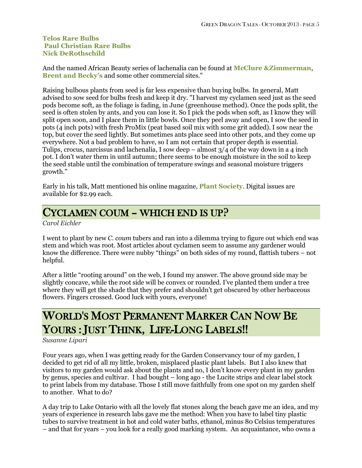### **[Telos Rare Bulbs](http://www.telosrarebulbs.com/Lachenalia.html) [Paul Christian Rare Bulbs](http://rareplants.co.uk/) [Nick DeRothschild](http://www.nerines.com/)**

And the named African Beauty series of lachenalia can be found at **[McClure &Zimmerman](http://www.mzbulb.com/search.asp?search=lachenalia)**, **[Brent and Becky's](https://store.brentandbeckysbulbs.com/spring/search/search.php?section=keyword&criteria=lachenalia)** and some other commercial sites."

Raising bulbous plants from seed is far less expensive than buying bulbs. In general, Matt advised to sow seed for bulbs fresh and keep it dry. "I harvest my cyclamen seed just as the seed pods become soft, as the foliage is fading, in June (greenhouse method). Once the pods split, the seed is often stolen by ants, and you can lose it. So I pick the pods when soft, as I know they will split open soon, and I place them in little bowls. Once they peel away and open, I sow the seed in pots (4 inch pots) with fresh ProMix (peat based soil mix with some grit added). I sow near the top, but cover the seed lightly. But sometimes ants place seed into other pots, and they come up everywhere. Not a bad problem to have, so I am not certain that proper depth is essential. Tulips, crocus, narcissus and lachenalia, I sow deep – almost  $3/4$  of the way down in a 4 inch pot. I don't water them in until autumn; there seems to be enough moisture in the soil to keep the seed stable until the combination of temperature swings and seasonal moisture triggers growth."

Early in his talk, Matt mentioned his online magazine, **[Plant Society](http://www.magcloud.com/browse/magazine/22210)**. Digital issues are available for \$2.99 each.

### CYCLAMEN COUM – WHICH END IS UP?

*Carol Eichler*

I went to plant by new *C. coum* tubers and ran into a dilemma trying to figure out which end was stem and which was root. Most articles about cyclamen seem to assume any gardener would know the difference. There were nubby "things" on both sides of my round, flattish tubers – not helpful.

After a little "rooting around" on the web, I found my answer. The above ground side may be slightly concave, while the root side will be convex or rounded. I've planted them under a tree where they will get the shade that they prefer and shouldn't get obscured by other herbaceous flowers. Fingers crossed. Good luck with yours, everyone!

# WORLD'S MOST PERMANENT MARKER CAN NOW BE YOURS : JUST THINK, LIFE-LONG LABELS!!

*Susanne Lipari*

Four years ago, when I was getting ready for the Garden Conservancy tour of my garden, I decided to get rid of all my little, broken, misplaced plastic plant labels. But I also knew that visitors to my garden would ask about the plants and no, I don't know every plant in my garden by genus, species and cultivar. I had bought – long ago - the Lucite strips and clear label stock to print labels from my database. Those I still move faithfully from one spot on my garden shelf to another. What to do?

A day trip to Lake Ontario with all the lovely flat stones along the beach gave me an idea, and my years of experience in research labs gave me the method: When you have to label tiny plastic tubes to survive treatment in hot and cold water baths, ethanol, minus 80 Celsius temperatures – and that for years – you look for a really good marking system. An acquaintance, who owns a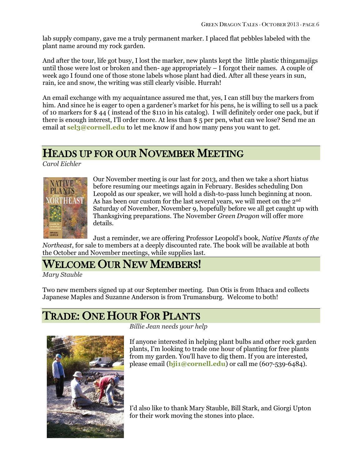lab supply company, gave me a truly permanent marker. I placed flat pebbles labeled with the plant name around my rock garden.

And after the tour, life got busy, I lost the marker, new plants kept the little plastic thingamajigs until those were lost or broken and then- age appropriately – I forgot their names. A couple of week ago I found one of those stone labels whose plant had died. After all these years in sun, rain, ice and snow, the writing was still clearly visible. Hurrah!

An email exchange with my acquaintance assured me that, yes, I can still buy the markers from him. And since he is eager to open a gardener's market for his pens, he is willing to sell us a pack of 10 markers for \$ 44 ( instead of the \$110 in his catalog). I will definitely order one pack, but if there is enough interest, I'll order more. At less than \$ 5 per pen, what can we lose? Send me an email at **[sel3@cornell.edu](mailto:sel3@cornell.edu)** to let me know if and how many pens you want to get.

### HEADS UP FOR OUR NOVEMBER MEETING

*Carol Eichler*



Our November meeting is our last for 2013, and then we take a short hiatus before resuming our meetings again in February. Besides scheduling Don Leopold as our speaker, we will hold a dish-to-pass lunch beginning at noon. As has been our custom for the last several years, we will meet on the 2<sup>nd</sup> Saturday of November, November 9, hopefully before we all get caught up with Thanksgiving preparations. The November *Green Dragon* will offer more details.

Just a reminder, we are offering Professor Leopold's book, *Native Plants of the Northeast*, for sale to members at a deeply discounted rate. The book will be available at both the October and November meetings, while supplies last.

## WELCOME OUR NEW MEMBERS!

*Mary Stauble*

Two new members signed up at our September meeting. Dan Otis is from Ithaca and collects Japanese Maples and Suzanne Anderson is from Trumansburg. Welcome to both!

## TRADE: ONE HOUR FOR PLANTS



*Billie Jean needs your help*

If anyone interested in helping plant bulbs and other rock garden plants, I'm looking to trade one hour of planting for free plants from my garden. You'll have to dig them. If you are interested, please email (**[bji1@cornell.edu](mailto:bji1@cornell.edu)**) or call me (607-539-6484).

I'd also like to thank Mary Stauble, Bill Stark, and Giorgi Upton for their work moving the stones into place.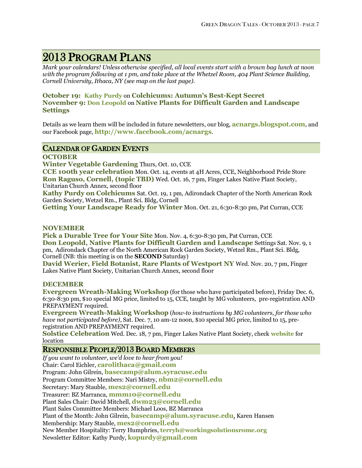### 2013 PROGRAM PLANS

*Mark your calendars! Unless otherwise specified, all local events start with a brown bag lunch at noon with the program following at 1 pm, and take place at the Whetzel Room, 404 Plant Science Building, Cornell University, Ithaca, NY (see map on the last page).*

### **October 19: [Kathy Purdy](http://www.coldclimategardening.com/category/plant-info/colchicums/)** on **Colchicums: Autumn's Best-Kept Secret November 9: [Don Leopold](http://www.timberpress.com/speakers/author?id=61)** on **Native Plants for Difficult Garden and Landscape Settings**

Details as we learn them will be included in future newsletters, our blog, **[acnargs.blogspot.com](http://acnargs.blogspot.com/)**, and our Facebook page, **[http://www.facebook.com/acnargs](http://acnargs.blogspot.com/)**.

### CALENDAR OF GARDEN EVENTS

### **OCTOBER**

**Winter Vegetable Gardening** Thurs, Oct. 10, CCE

**CCE 100th year celebration** Mon. Oct. 14, events at 4H Acres, CCE, Neighborhood Pride Store **Ron Raguso, Cornell, (topic TBD)** Wed. Oct. 16, 7 pm, Finger Lakes Native Plant Society, Unitarian Church Annex, second floor

**Kathy Purdy on Colchicums** Sat. Oct. 19, 1 pm, Adirondack Chapter of the North American Rock Garden Society, Wetzel Rm., Plant Sci. Bldg, Cornell

**Getting Your Landscape Ready for Winter** Mon. Oct. 21, 6:30-8:30 pm, Pat Curran, CCE

#### **NOVEMBER**

Pick a Durable Tree for Your Site Mon. Nov. 4, 6:30-8:30 pm, Pat Curran, CCE **Don Leopold, Native Plants for Difficult Garden and Landscape** Settings Sat. Nov. 9, 1 pm, Adirondack Chapter of the North American Rock Garden Society, Wetzel Rm., Plant Sci. Bldg, Cornell (NB: this meeting is on the **SECOND** Saturday)

**David Werier, Field Botanist, Rare Plants of Westport NY** Wed. Nov. 20, 7 pm, Finger Lakes Native Plant Society, Unitarian Church Annex, second floor

#### **DECEMBER**

**Evergreen Wreath-Making Workshop** (for those who have participated before), Friday Dec. 6, 6:30-8:30 pm, \$10 special MG price, limited to 15, CCE, taught by MG volunteers, pre-registration AND PREPAYMENT required.

**Evergreen Wreath-Making Workshop** (*how-to instructions by MG volunteers, for those who have not participated before)*, Sat. Dec. 7, 10 am-12 noon, \$10 special MG price, limited to 15, preregistration AND PREPAYMENT required.

**Solstice Celebration** Wed. Dec. 18, 7 pm, Finger Lakes Native Plant Society, check **[website](http://www.flnps.org/)** for location

### RESPONSIBLE PEOPLE/2013 BOARD MEMBERS

*If you want to volunteer, we'd love to hear from you!* Chair: Carol Eichler, **[carolithaca@gmail.com](mailto:carolithaca@gmail.com)** Program: John Gilrein, **[basecamp@alum.syracuse.edu](mailto:basecamp@alum.syracuse.edu)** Program Committee Members: Nari Mistry, **[nbm2@cornell.edu](mailto:nbm2@cornell.edu)** Secretary: Mary Stauble, **[mes2@cornell.edu](mailto:mes2@cornell.edu)** Treasurer: BZ Marranca, **[mmm10@cornell.edu](mailto:mmm10@cornell.edu)** Plant Sales Chair: David Mitchell, **[dwm23@cornell.edu](mailto:dwm23@cornell.edu)** Plant Sales Committee Members: Michael Loos, BZ Marranca Plant of the Month: John Gilrein, **[basecamp@alum.syracuse.edu](mailto:basecamp@alum.syracuse.edu)**, Karen Hansen Membership: Mary Stauble, **[mes2@cornell.edu](mailto:mes2@cornell.edu)** New Member Hospitality: Terry Humphries, **terryh@workingsolutionsrome.org** Newsletter Editor: Kathy Purdy, **[kopurdy@gmail.com](mailto:kathy@coldclimategardening.com)**